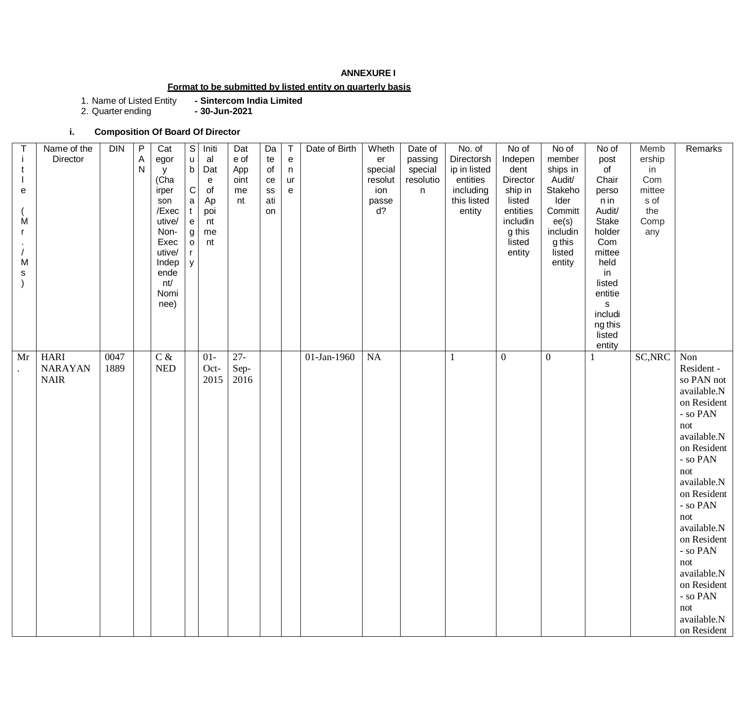### **ANNEXURE I**

# **Format to be submitted by listed entity on quarterly basis**

1. Name of Listed Entity **- Sintercom India Limited**

2. Quarter ending **- 30-Jun-2021**

### **i. Composition Of Board Of Director**

| t<br>е<br>M<br>M<br>s | Name of the<br>Director                      | <b>DIN</b>   | P<br>$\mathsf A$<br>N | Cat<br>egor<br>У<br>(Cha<br>irper<br>son<br>/Exec<br>utive/<br>Non-<br>Exec<br>utive/<br>Indep<br>ende<br>nt/<br>Nomi<br>nee) | S<br>u<br>b<br>$\mathsf C$<br>a<br>e<br>g<br>$\mathsf{o}\,$<br>y | Initi<br>al<br>Dat<br>${\bf e}$<br>of<br>Ap<br>poi<br>nt<br>me<br>nt | Dat<br>e of<br>App<br>oint<br>me<br>nt | Da<br>te<br>of<br>ce<br>${\tt SS}$<br>ati<br>on | ${\bf e}$<br>n<br>ur<br>e | Date of Birth | Wheth<br>er<br>special<br>resolut<br>ion<br>passe<br>d? | Date of<br>passing<br>special<br>resolutio<br>n | No. of<br>Directorsh<br>ip in listed<br>entities<br>including<br>this listed<br>entity | No of<br>Indepen<br>dent<br>Director<br>ship in<br>listed<br>entities<br>includin<br>g this<br>listed<br>entity | No of<br>member<br>ships in<br>Audit/<br>Stakeho<br>Ider<br>Committ<br>ee(s)<br>includin<br>g this<br>listed<br>entity | No of<br>post<br>$\circ$ f<br>Chair<br>perso<br>n in<br>Audit/<br><b>Stake</b><br>holder<br>Com<br>mittee<br>held<br>in<br>listed<br>entitie<br>s<br>includi<br>ng this<br>listed<br>entity | Memb<br>ership<br>in<br>Com<br>mittee<br>s of<br>the<br>Comp<br>any | Remarks                                                                                                                                                                                                                                                                                                            |
|-----------------------|----------------------------------------------|--------------|-----------------------|-------------------------------------------------------------------------------------------------------------------------------|------------------------------------------------------------------|----------------------------------------------------------------------|----------------------------------------|-------------------------------------------------|---------------------------|---------------|---------------------------------------------------------|-------------------------------------------------|----------------------------------------------------------------------------------------|-----------------------------------------------------------------------------------------------------------------|------------------------------------------------------------------------------------------------------------------------|---------------------------------------------------------------------------------------------------------------------------------------------------------------------------------------------|---------------------------------------------------------------------|--------------------------------------------------------------------------------------------------------------------------------------------------------------------------------------------------------------------------------------------------------------------------------------------------------------------|
| Mr                    | <b>HARI</b><br><b>NARAYAN</b><br><b>NAIR</b> | 0047<br>1889 |                       | $C$ &<br><b>NED</b>                                                                                                           |                                                                  | $01-$<br>Oct-<br>2015                                                | $27 -$<br>Sep-<br>2016                 |                                                 |                           | 01-Jan-1960   | <b>NA</b>                                               |                                                 | 1                                                                                      | $\boldsymbol{0}$                                                                                                | $\boldsymbol{0}$                                                                                                       | 1                                                                                                                                                                                           | SC, NRC                                                             | Non<br>Resident -<br>so PAN not<br>available.N<br>on Resident<br>- so PAN<br>not<br>available.N<br>on Resident<br>- so PAN<br>not<br>available.N<br>on Resident<br>- so PAN<br>not<br>available.N<br>on Resident<br>- so PAN<br>not<br>available.N<br>on Resident<br>- so PAN<br>not<br>available.N<br>on Resident |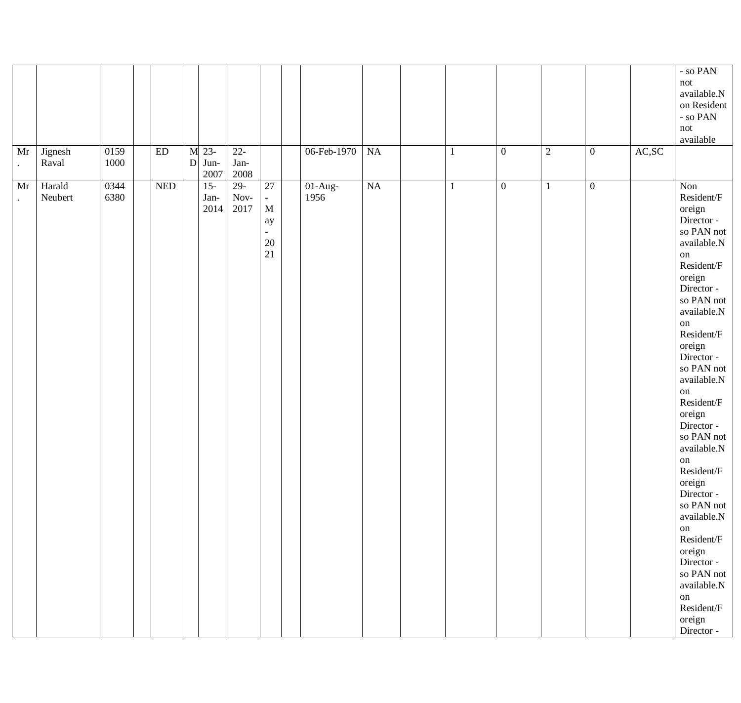| Mr<br>$\bullet$            | Jignesh<br>Raval  | 0159<br>1000 | $\mathop{\rm ED}\nolimits$ | M 23-<br>$D$ Jun-<br>2007 | $22 -$<br>Jan-<br>2008     |                                                                                                 | 06-Feb-1970       | NA                     |  | $\boldsymbol{0}$ | $\overline{2}$ | $\boldsymbol{0}$ | $\mathbf{AC},\!\mathbf{SC}$ | - so $\ensuremath{\mathsf{PAN}}$<br>not<br>available.N<br>on Resident<br>- so $\text{PAN}$<br>not<br>available                                                                                                                                                                                                                                                                                                                                                                                  |
|----------------------------|-------------------|--------------|----------------------------|---------------------------|----------------------------|-------------------------------------------------------------------------------------------------|-------------------|------------------------|--|------------------|----------------|------------------|-----------------------------|-------------------------------------------------------------------------------------------------------------------------------------------------------------------------------------------------------------------------------------------------------------------------------------------------------------------------------------------------------------------------------------------------------------------------------------------------------------------------------------------------|
| Mr<br>$\ddot{\phantom{0}}$ | Harald<br>Neubert | 0344<br>6380 | <b>NED</b>                 | $15-$<br>Jan-<br>2014     | $29-$<br>$\,$ Nov-<br>2017 | 27<br>$\overline{\phantom{a}}$<br>$\mathbf M$<br>ay<br>$\overline{\phantom{0}}$<br>$20\,$<br>21 | $01-Aug-$<br>1956 | $\overline{\text{NA}}$ |  | $\mathbf{0}$     | $\mathbf{1}$   | $\boldsymbol{0}$ |                             | Non<br>Resident/F<br>oreign<br>Director -<br>so PAN not<br>available.N<br>on<br>Resident/F<br>oreign<br>Director -<br>so PAN not<br>available.N<br>on<br>Resident/F<br>oreign<br>Director -<br>so PAN not<br>available.N<br>on<br>Resident/F<br>oreign<br>Director -<br>so PAN not<br>available.N<br>on<br>Resident/F<br>oreign<br>Director -<br>so PAN not<br>available.N<br>on<br>Resident/F<br>oreign<br>Director -<br>so PAN not<br>available.N<br>on<br>Resident/F<br>oreign<br>Director - |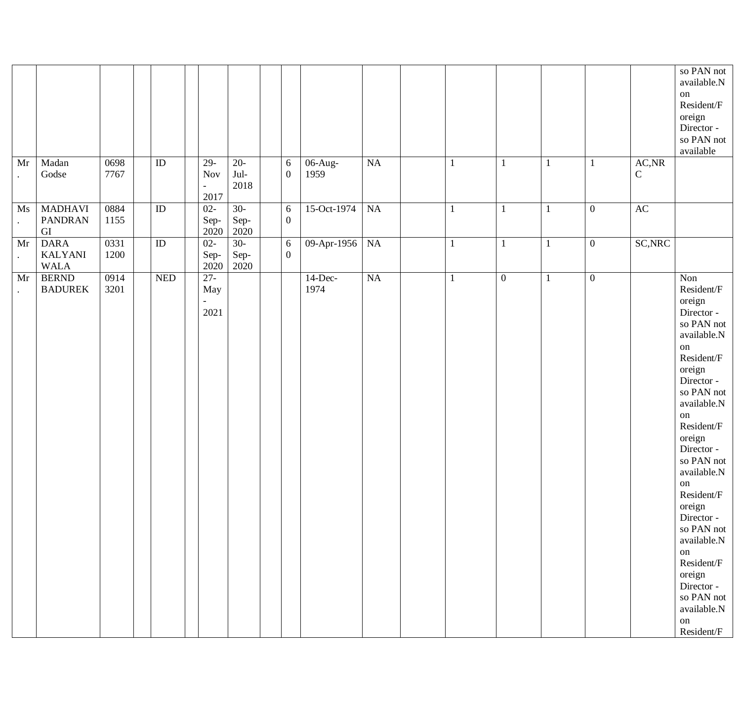| Mr<br>$\bullet$ | Madan<br>Godse                               | 0698<br>7767 | $\rm ID$        | $29-$<br>Nov<br>$\overline{a}$<br>2017 | $20-$<br>Jul-<br>2018 | 6<br>$\boldsymbol{0}$          | 06-Aug-<br>1959    | $\rm NA$               | $\mathbf{1}$ |                  | -1           | $\mathbf{1}$     | $\mathsf{AC},\!\mathsf{NR}$<br>$\mathsf{C}$ | so PAN not<br>available.N<br>on<br>Resident/F<br>oreign<br>Director -<br>so PAN not<br>available                                                                                                                                                                                                                                                                                               |
|-----------------|----------------------------------------------|--------------|-----------------|----------------------------------------|-----------------------|--------------------------------|--------------------|------------------------|--------------|------------------|--------------|------------------|---------------------------------------------|------------------------------------------------------------------------------------------------------------------------------------------------------------------------------------------------------------------------------------------------------------------------------------------------------------------------------------------------------------------------------------------------|
| Ms<br>$\bullet$ | <b>MADHAVI</b><br><b>PANDRAN</b><br>GI       | 0884<br>1155 | $\overline{ID}$ | $02 -$<br>Sep-<br>2020                 | $30-$<br>Sep-<br>2020 | $\sqrt{6}$<br>$\boldsymbol{0}$ | 15-Oct-1974        | $\overline{\text{NA}}$ | $\mathbf{1}$ |                  | $\mathbf{1}$ | $\boldsymbol{0}$ | AC                                          |                                                                                                                                                                                                                                                                                                                                                                                                |
| Mr<br>$\bullet$ | <b>DARA</b><br><b>KALYANI</b><br><b>WALA</b> | 0331<br>1200 | $\rm ID$        | $02 -$<br>Sep-<br>2020                 | $30-$<br>Sep-<br>2020 | $6\,$<br>$\boldsymbol{0}$      | 09-Apr-1956        | NA                     | $\mathbf{1}$ |                  | 1            | $\boldsymbol{0}$ | SC, NRC                                     |                                                                                                                                                                                                                                                                                                                                                                                                |
| Mr              | <b>BERND</b><br><b>BADUREK</b>               | 0914<br>3201 | <b>NED</b>      | $27 -$<br>May<br>2021                  |                       |                                | $14$ -Dec-<br>1974 | $\overline{\text{NA}}$ | $\mathbf{1}$ | $\boldsymbol{0}$ | $\mathbf{1}$ | $\boldsymbol{0}$ |                                             | Non<br>Resident/F<br>oreign<br>Director -<br>so PAN not<br>available.N<br>on<br>Resident/F<br>oreign<br>Director -<br>so PAN not<br>available.N<br>on<br>Resident/F<br>oreign<br>Director -<br>so PAN not<br>available.N<br>on<br>Resident/F<br>oreign<br>Director -<br>so PAN not<br>available.N<br>on<br>Resident/F<br>oreign<br>Director -<br>so PAN not<br>available.N<br>on<br>Resident/F |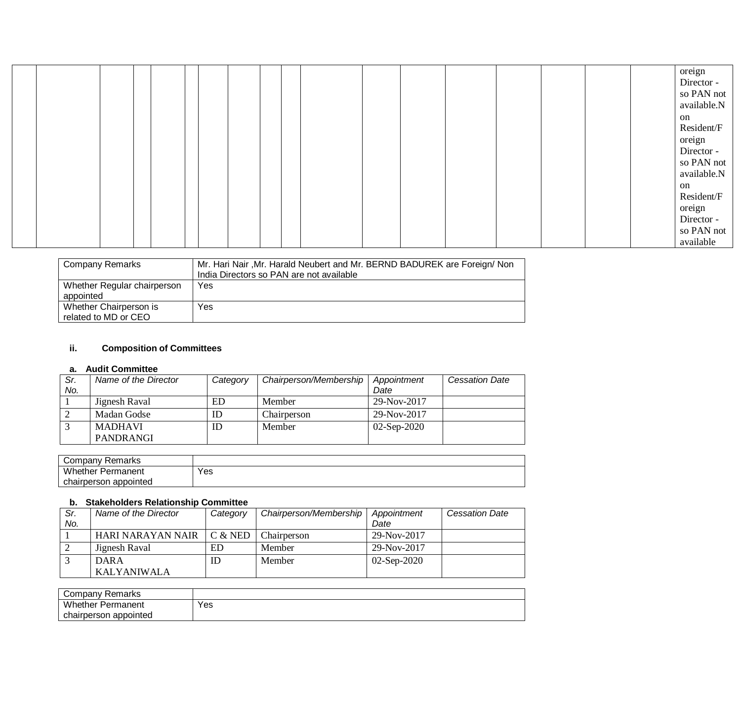|  |  |  |  |  |  |  |  |  | oreign      |
|--|--|--|--|--|--|--|--|--|-------------|
|  |  |  |  |  |  |  |  |  |             |
|  |  |  |  |  |  |  |  |  | Director -  |
|  |  |  |  |  |  |  |  |  | so PAN not  |
|  |  |  |  |  |  |  |  |  | available.N |
|  |  |  |  |  |  |  |  |  | on          |
|  |  |  |  |  |  |  |  |  | Resident/F  |
|  |  |  |  |  |  |  |  |  | oreign      |
|  |  |  |  |  |  |  |  |  | Director -  |
|  |  |  |  |  |  |  |  |  | so PAN not  |
|  |  |  |  |  |  |  |  |  | available.N |
|  |  |  |  |  |  |  |  |  | on          |
|  |  |  |  |  |  |  |  |  | Resident/F  |
|  |  |  |  |  |  |  |  |  | oreign      |
|  |  |  |  |  |  |  |  |  | Director -  |
|  |  |  |  |  |  |  |  |  | so PAN not  |
|  |  |  |  |  |  |  |  |  | available   |

| Company Remarks                                | Mr. Hari Nair, Mr. Harald Neubert and Mr. BERND BADUREK are Foreign/ Non<br>India Directors so PAN are not available |
|------------------------------------------------|----------------------------------------------------------------------------------------------------------------------|
| Whether Regular chairperson<br>appointed       | Yes                                                                                                                  |
| Whether Chairperson is<br>related to MD or CEO | Yes                                                                                                                  |

### **ii. Composition of Committees**

#### **a. Audit Committee**

| Sr.<br>No. | Name of the Director | Category | Chairperson/Membership | Appointment<br>Date | <b>Cessation Date</b> |
|------------|----------------------|----------|------------------------|---------------------|-----------------------|
|            | Jignesh Raval        | ED       | Member                 | 29-Nov-2017         |                       |
|            | Madan Godse          | ID       | Chairperson            | 29-Nov-2017         |                       |
|            | <b>MADHAVI</b>       | ID       | Member                 | $02-Sep-2020$       |                       |
|            | <b>PANDRANGI</b>     |          |                        |                     |                       |

| ¿ompanv Remarks          |     |
|--------------------------|-----|
| <b>Whether Permanent</b> | Yes |
| chairperson appointed    |     |

#### **b. Stakeholders Relationship Committee**

| Sr. | Name of the Director | Category  | Chairperson/Membership | Appointment   | <b>Cessation Date</b> |
|-----|----------------------|-----------|------------------------|---------------|-----------------------|
| No. |                      |           |                        | Date          |                       |
|     | HARI NARAYAN NAIR    | $C &$ NED | Chairperson            | 29-Nov-2017   |                       |
|     | Jignesh Raval        | ED        | Member                 | 29-Nov-2017   |                       |
|     | <b>DARA</b>          | ID        | Member                 | $02-Sep-2020$ |                       |
|     | <b>KALYANIWALA</b>   |           |                        |               |                       |

| Company Remarks          |     |
|--------------------------|-----|
| <b>Whether Permanent</b> | Yes |
| appointed<br>chairperson |     |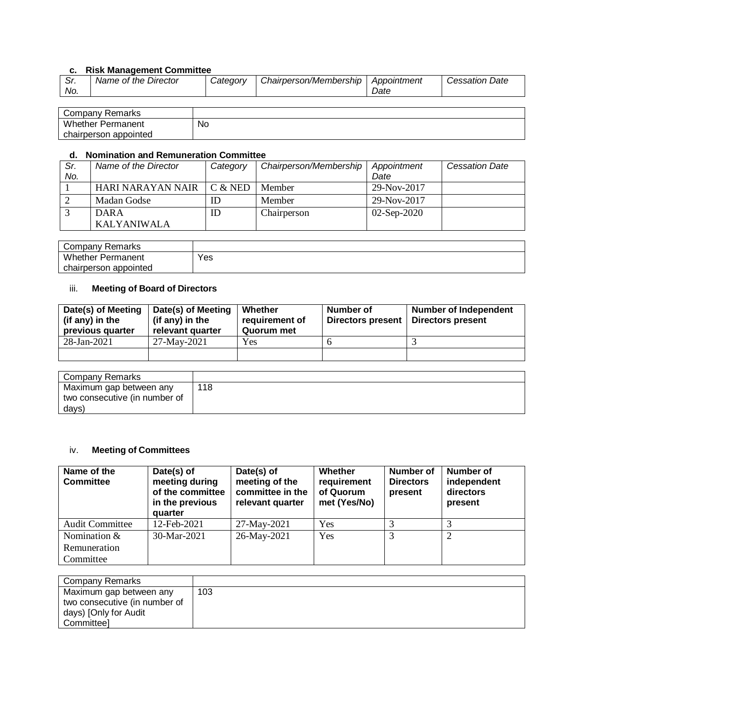## **c. Risk Management Committee**

| . اب | Name of the Director<br><i>Catedorv</i><br>No. | Chairperson/Membership | Appointment<br>Date | Date<br>Cessation ! |
|------|------------------------------------------------|------------------------|---------------------|---------------------|
|      |                                                |                        |                     |                     |

| Company Remarks          |    |
|--------------------------|----|
| <b>Whether Permanent</b> | No |
| chairperson appointed    |    |

#### **d. Nomination and Remuneration Committee**

| Sr. | Name of the Director | Category  | Chairperson/Membership | Appointment   | <b>Cessation Date</b> |
|-----|----------------------|-----------|------------------------|---------------|-----------------------|
| No. |                      |           |                        | Date          |                       |
|     | HARI NARAYAN NAIR    | $C &$ NED | Member                 | 29-Nov-2017   |                       |
|     | Madan Godse          | ID        | Member                 | 29-Nov-2017   |                       |
|     | <b>DARA</b>          | ID        | Chairperson            | $02-Sep-2020$ |                       |
|     | KALYANIWALA          |           |                        |               |                       |

| Company Remarks          |     |
|--------------------------|-----|
| <b>Whether Permanent</b> | Yes |
| chairperson appointed    |     |

#### iii. **Meeting of Board of Directors**

| Date(s) of Meeting<br>(if any) in the<br>previous quarter | Date(s) of Meeting<br>(if any) in the<br>relevant quarter | Whether<br>requirement of<br>Quorum met | Number of<br>Directors present | <b>Number of Independent</b><br>Directors present |
|-----------------------------------------------------------|-----------------------------------------------------------|-----------------------------------------|--------------------------------|---------------------------------------------------|
| 28-Jan-2021                                               | 27-May-2021                                               | Yes                                     |                                |                                                   |
|                                                           |                                                           |                                         |                                |                                                   |

| Company Remarks               |     |
|-------------------------------|-----|
| Maximum gap between any       | 118 |
| two consecutive (in number of |     |
| days)                         |     |

# iv. **Meeting of Committees**

| Name of the<br><b>Committee</b>             | Date(s) of<br>meeting during<br>of the committee<br>in the previous<br>quarter | Date(s) of<br>meeting of the<br>committee in the<br>relevant quarter | Whether<br>requirement<br>of Quorum<br>met (Yes/No) | <b>Number of</b><br><b>Directors</b><br>present | <b>Number of</b><br>independent<br>directors<br>present |
|---------------------------------------------|--------------------------------------------------------------------------------|----------------------------------------------------------------------|-----------------------------------------------------|-------------------------------------------------|---------------------------------------------------------|
| <b>Audit Committee</b>                      | 12-Feb-2021                                                                    | 27-May-2021                                                          | Yes                                                 |                                                 |                                                         |
| Nomination $&$<br>Remuneration<br>Committee | 30-Mar-2021                                                                    | 26-May-2021                                                          | Yes                                                 |                                                 | 2                                                       |

| Company Remarks               |     |
|-------------------------------|-----|
| Maximum gap between any       | 103 |
| two consecutive (in number of |     |
| days) [Only for Audit         |     |
| Committeel                    |     |